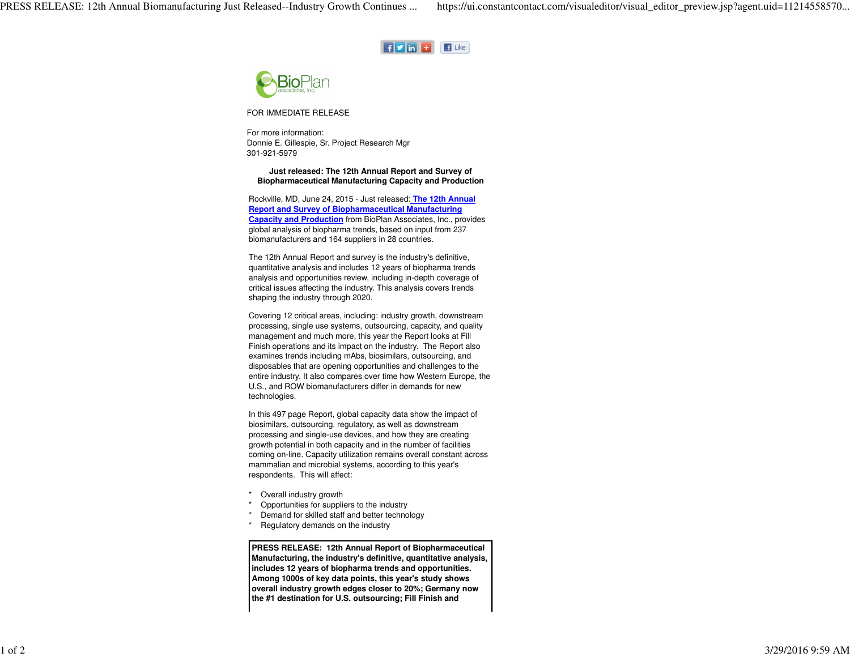



FOR IMMEDIATE RELEASE

For more information: Donnie E. Gillespie, Sr. Project Research Mgr 301-921-5979

## **Just released: The 12th Annual Report and Survey ofBiopharmaceutical Manufacturing Capacity and Production**

Rockville, MD, June 24, 2015 - Just released: **The 12th AnnualReport and Survey of Biopharmaceutical Manufacturing Capacity and Production** from BioPlan Associates, Inc., providesglobal analysis of biopharma trends, based on input from 237biomanufacturers and 164 suppliers in 28 countries.

The 12th Annual Report and survey is the industry's definitive, quantitative analysis and includes 12 years of biopharma trends analysis and opportunities review, including in-depth coverage ofcritical issues affecting the industry. This analysis covers trendsshaping the industry through 2020.

Covering 12 critical areas, including: industry growth, downstream processing, single use systems, outsourcing, capacity, and qualitymanagement and much more, this year the Report looks at FillFinish operations and its impact on the industry. The Report alsoexamines trends including mAbs, biosimilars, outsourcing, and disposables that are opening opportunities and challenges to the entire industry. It also compares over time how Western Europe, theU.S., and ROW biomanufacturers differ in demands for newtechnologies.

In this 497 page Report, global capacity data show the impact ofbiosimilars, outsourcing, regulatory, as well as downstream processing and single-use devices, and how they are creating growth potential in both capacity and in the number of facilities coming on-line. Capacity utilization remains overall constant acrossmammalian and microbial systems, according to this year'srespondents. This will affect:

- Overall industry growth
- \* Opportunities for suppliers to the industry
- \* Demand for skilled staff and better technology
- Regulatory demands on the industry

**PRESS RELEASE: 12th Annual Report of Biopharmaceutical Manufacturing, the industry's definitive, quantitative analysis,includes 12 years of biopharma trends and opportunities. Among 1000s of key data points, this year's study shows overall industry growth edges closer to 20%; Germany nowthe #1 destination for U.S. outsourcing; Fill Finish and**